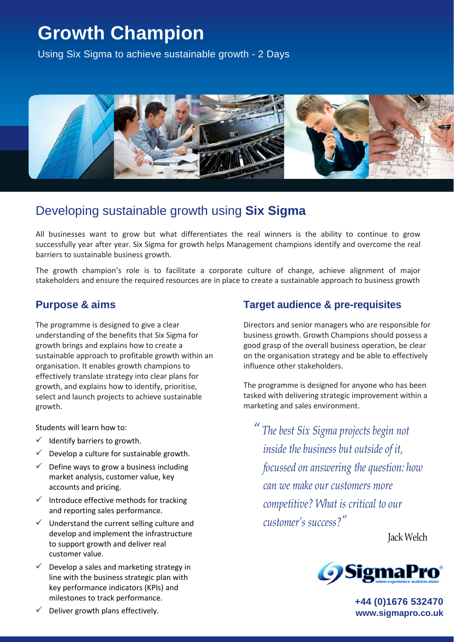# **Growth Champion**

Using Six Sigma to achieve sustainable growth - 2 Days



# Developing sustainable growth using **Six Sigma**

All businesses want to grow but what differentiates the real winners is the ability to continue to grow successfully year after year. Six Sigma for growth helps Management champions identify and overcome the real barriers to sustainable business growth.

The growth champion's role is to facilitate a corporate culture of change, achieve alignment of major stakeholders and ensure the required resources are in place to create a sustainable approach to business growth

## **Purpose & aims**

The programme is designed to give a clear understanding of the benefits that Six Sigma for growth brings and explains how to create a sustainable approach to profitable growth within an organisation. It enables growth champions to effectively translate strategy into clear plans for growth, and explains how to identify, prioritise, select and launch projects to achieve sustainable growth.

Students will learn how to:

- $\checkmark$  Identify barriers to growth.
- Develop a culture for sustainable growth.
- Define ways to grow a business including market analysis, customer value, key accounts and pricing.
- $\checkmark$  Introduce effective methods for tracking and reporting sales performance.
- $\checkmark$  Understand the current selling culture and develop and implement the infrastructure to support growth and deliver real customer value.
- Develop a sales and marketing strategy in line with the business strategic plan with key performance indicators (KPIs) and milestones to track performance.

# **Target audience & pre-requisites**

Directors and senior managers who are responsible for business growth. Growth Champions should possess a good grasp of the overall business operation, be clear on the organisation strategy and be able to effectively influence other stakeholders.

The programme is designed for anyone who has been tasked with delivering strategic improvement within a marketing and sales environment.

*" The best Six Sigma projects begin not inside the business but outside of it, focussed on answering the question: how can we make our customers more competitive? What is critical to our customer's success?"* 

Jack Welch



**+44 (0)1676 532470 www.sigmapro.co.uk**

Deliver growth plans effectively.